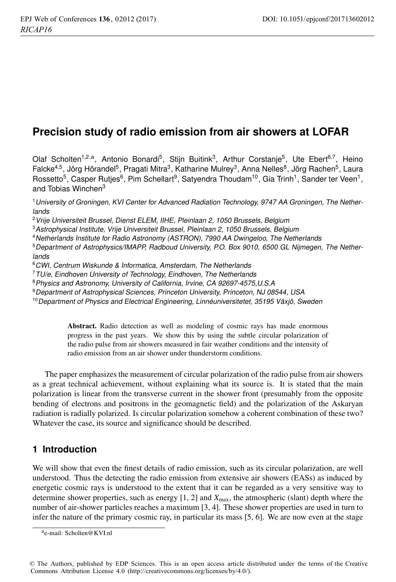# **Precision study of radio emission from air showers at LOFAR**

Olaf Scholten<sup>1,2,a</sup>, Antonio Bonardi<sup>5</sup>, Stijn Buitink<sup>3</sup>, Arthur Corstanje<sup>5</sup>, Ute Ebert<sup>6,7</sup>, Heino Falcke<sup>4,5</sup>, Jörg Hörandel<sup>5</sup>, Pragati Mitra<sup>3</sup>, Katharine Mulrey<sup>3</sup>, Anna Nelles<sup>8</sup>, Jörg Rachen<sup>5</sup>, Laura Rossetto<sup>5</sup>, Casper Rutjes<sup>6</sup>, Pim Schellart<sup>9</sup>, Satyendra Thoudam<sup>10</sup>, Gia Trinh<sup>1</sup>, Sander ter Veen<sup>1</sup>, and Tobias Winchen<sup>3</sup>

<sup>1</sup>University of Groningen, KVI Center for Advanced Radiation Technology, 9747 AA Groningen, The Netherlands

<sup>2</sup> Vrije Universiteit Brussel, Dienst ELEM, IIHE, Pleinlaan 2, 1050 Brussels, Belgium

<sup>3</sup>Astrophysical Institute, Vrije Universiteit Brussel, Pleinlaan 2, 1050 Brussels, Belgium

<sup>4</sup>Netherlands Institute for Radio Astronomy (ASTRON), 7990 AA Dwingeloo, The Netherlands

<sup>5</sup>Department of Astrophysics/IMAPP, Radboud University, P.O. Box 9010, 6500 GL Nijmegen, The Netherlands

<sup>6</sup>CWI, Centrum Wiskunde & Informatica, Amsterdam, The Netherlands

 $7$ TU/e, Eindhoven University of Technology, Eindhoven, The Netherlands

<sup>8</sup>Physics and Astronomy, University of California, Irvine, CA 92697-4575,U.S.A

<sup>9</sup>Department of Astrophysical Sciences, Princeton University, Princeton, NJ 08544, USA

 $10$  Department of Physics and Electrical Engineering, Linnéuniversitetet, 35195 Växjö, Sweden

Abstract. Radio detection as well as modeling of cosmic rays has made enormous progress in the past years. We show this by using the subtle circular polarization of the radio pulse from air showers measured in fair weather conditions and the intensity of radio emission from an air shower under thunderstorm conditions.

The paper emphasizes the measurement of circular polarization of the radio pulse from air showers as a great technical achievement, without explaining what its source is. It is stated that the main polarization is linear from the transverse current in the shower front (presumably from the opposite bending of electrons and positrons in the geomagnetic field) and the polarization of the Askaryan radiation is radially polarized. Is circular polarization somehow a coherent combination of these two? Whatever the case, its source and significance should be described.

# **1 Introduction**

We will show that even the finest details of radio emission, such as its circular polarization, are well understood. Thus the detecting the radio emission from extensive air showers (EASs) as induced by energetic cosmic rays is understood to the extent that it can be regarded as a very sensitive way to determine shower properties, such as energy [1, 2] and *X*max, the atmospheric (slant) depth where the number of air-shower particles reaches a maximum [3, 4]. These shower properties are used in turn to infer the nature of the primary cosmic ray, in particular its mass [5, 6]. We are now even at the stage

ae-mail: Scholten@KVI.nl

<sup>©</sup> The Authors, published by EDP Sciences. This is an open access article distributed under the terms of the Creative Commons Attribution License 4.0 (http://creativecommons.org/licenses/by/4.0/).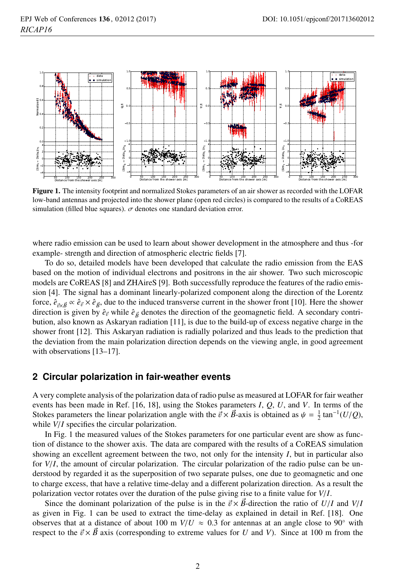

Figure 1. The intensity footprint and normalized Stokes parameters of an air shower as recorded with the LOFAR low-band antennas and projected into the shower plane (open red circles) is compared to the results of a CoREAS simulation (filled blue squares).  $\sigma$  denotes one standard deviation error.

where radio emission can be used to learn about shower development in the atmosphere and thus -for example- strength and direction of atmospheric electric fields [7].

To do so, detailed models have been developed that calculate the radio emission from the EAS based on the motion of individual electrons and positrons in the air shower. Two such microscopic models are CoREAS [8] and ZHAireS [9]. Both successfully reproduce the features of the radio emission [4]. The signal has a dominant linearly-polarized component along the direction of the Lorentz force,  $\hat{e}_{\vec{n} \times \vec{B}} \propto \hat{e}_{\vec{n}} \times \hat{e}_{\vec{B}}$ , due to the induced transverse current in the shower front [10]. Here the shower direction is given by  $\hat{e}_{\vec{B}}$  while  $\hat{e}_{\vec{B}}$  denotes the direction of the geomagnetic field. A secondary contribution, also known as Askaryan radiation [11], is due to the build-up of excess negative charge in the shower front [12]. This Askaryan radiation is radially polarized and thus leads to the prediction that the deviation from the main polarization direction depends on the viewing angle, in good agreement with observations [13–17].

#### **2 Circular polarization in fair-weather events**

A very complete analysis of the polarization data of radio pulse as measured at LOFAR for fair weather events has been made in Ref. [16, 18], using the Stokes parameters *I*, *Q*, *U*, and *V*. In terms of the Stokes parameters the linear polarization angle with the  $\vec{v} \times \vec{B}$ -axis is obtained as  $\psi = \frac{1}{2} \tan^{-1}(U/Q)$ , while *V*/*I* specifies the circular polarization.

In Fig. 1 the measured values of the Stokes parameters for one particular event are show as function of distance to the shower axis. The data are compared with the results of a CoREAS simulation showing an excellent agreement between the two, not only for the intensity *I*, but in particular also for *V*/*I*, the amount of circular polarization. The circular polarization of the radio pulse can be understood by regarded it as the superposition of two separate pulses, one due to geomagnetic and one to charge excess, that have a relative time-delay and a different polarization direction. As a result the polarization vector rotates over the duration of the pulse giving rise to a finite value for *V*/*I*.

Since the dominant polarization of the pulse is in the  $\vec{v} \times \vec{B}$ -direction the ratio of  $U/I$  and  $V/I$ as given in Fig. 1 can be used to extract the time-delay as explained in detail in Ref. [18]. One observes that at a distance of about 100 m  $V/U \approx 0.3$  for antennas at an angle close to 90° with respect to the  $\vec{v} \times \vec{B}$  axis (corresponding to extreme values for *U* and *V*). Since at 100 m from the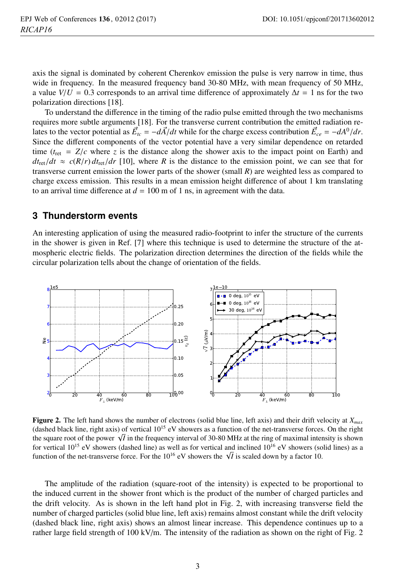axis the signal is dominated by coherent Cherenkov emission the pulse is very narrow in time, thus wide in frequency. In the measured frequency band 30-80 MHz, with mean frequency of 50 MHz, a value  $V/U = 0.3$  corresponds to an arrival time difference of approximately  $\Delta t = 1$  ns for the two polarization directions [18].

To understand the difference in the timing of the radio pulse emitted through the two mechanisms requires more subtle arguments [18]. For the transverse current contribution the emitted radiation relates to the vector potential as  $\vec{E}_{tc} = -d\vec{A}/dt$  while for the charge excess contribution  $\vec{E}_{ce} = -dA^0/dr$ . Since the different components of the vector potential have a very similar dependence on retarded time  $(t_{\text{ret}} = Z/c$  where *z* is the distance along the shower axis to the impact point on Earth) and  $dt_{\text{ret}}/dt \approx c(R/r) dt_{\text{ret}}/dr$  [10], where *R* is the distance to the emission point, we can see that for transverse current emission the lower parts of the shower (small *R*) are weighted less as compared to charge excess emission. This results in a mean emission height difference of about 1 km translating to an arrival time difference at  $d = 100$  m of 1 ns, in agreement with the data.

#### **3 Thunderstorm events**

An interesting application of using the measured radio-footprint to infer the structure of the currents in the shower is given in Ref. [7] where this technique is used to determine the structure of the atmospheric electric fields. The polarization direction determines the direction of the fields while the circular polarization tells about the change of orientation of the fields.



Figure 2. The left hand shows the number of electrons (solid blue line, left axis) and their drift velocity at *Xmax* (dashed black line, right axis) of vertical  $10^{15}$  eV showers as a function of the net-transverse forces. On the right the square root of the power  $\sqrt{I}$  in the frequency interval of 30-80 MHz at the ring of maximal intensity is shown for vertical  $10^{15}$  eV showers (dashed line) as well as for vertical and inclined  $10^{16}$  eV showers (solid lines) as a function of the net-transverse force. For the  $10^{16}$  eV showers the  $\sqrt{I}$  is scaled down by a factor 10.

The amplitude of the radiation (square-root of the intensity) is expected to be proportional to the induced current in the shower front which is the product of the number of charged particles and the drift velocity. As is shown in the left hand plot in Fig. 2, with increasing transverse field the number of charged particles (solid blue line, left axis) remains almost constant while the drift velocity (dashed black line, right axis) shows an almost linear increase. This dependence continues up to a rather large field strength of 100 kV/m. The intensity of the radiation as shown on the right of Fig. 2